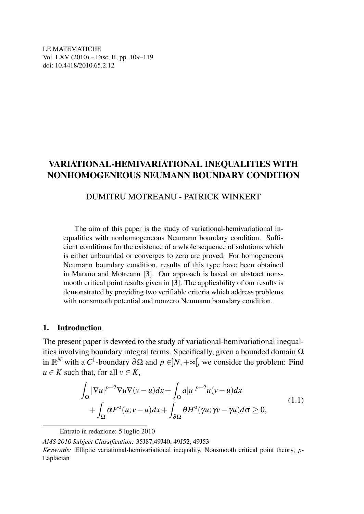LE MATEMATICHE Vol. LXV (2010) – Fasc. II, pp. 109–119 doi: 10.4418/2010.65.2.12

# VARIATIONAL-HEMIVARIATIONAL INEQUALITIES WITH NONHOMOGENEOUS NEUMANN BOUNDARY CONDITION

### DUMITRU MOTREANU - PATRICK WINKERT

The aim of this paper is the study of variational-hemivariational inequalities with nonhomogeneous Neumann boundary condition. Sufficient conditions for the existence of a whole sequence of solutions which is either unbounded or converges to zero are proved. For homogeneous Neumann boundary condition, results of this type have been obtained in Marano and Motreanu [3]. Our approach is based on abstract nonsmooth critical point results given in [3]. The applicability of our results is demonstrated by providing two verifiable criteria which address problems with nonsmooth potential and nonzero Neumann boundary condition.

#### 1. Introduction

The present paper is devoted to the study of variational-hemivariational inequalities involving boundary integral terms. Specifically, given a bounded domain  $\Omega$ in  $\mathbb{R}^N$  with a *C*<sup>1</sup>-boundary ∂Ω and  $p \in ]N, +\infty[$ , we consider the problem: Find  $u \in K$  such that, for all  $v \in K$ ,

$$
\int_{\Omega} |\nabla u|^{p-2} \nabla u \nabla (v - u) dx + \int_{\Omega} a |u|^{p-2} u (v - u) dx \n+ \int_{\Omega} \alpha F^{\circ} (u; v - u) dx + \int_{\partial \Omega} \theta H^{\circ} (\gamma u; \gamma v - \gamma u) d\sigma \ge 0,
$$
\n(1.1)

Entrato in redazione: 5 luglio 2010

*AMS 2010 Subject Classification:* 35J87,49J40, 49J52, 49J53

*Keywords:* Elliptic variational-hemivariational inequality, Nonsmooth critical point theory, *p*-Laplacian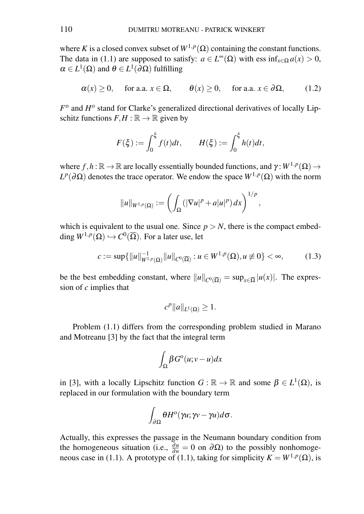where *K* is a closed convex subset of  $W^{1,p}(\Omega)$  containing the constant functions. The data in (1.1) are supposed to satisfy:  $a \in L^{\infty}(\Omega)$  with ess  $\inf_{x \in \Omega} a(x) > 0$ ,  $\alpha \in L^1(\Omega)$  and  $\theta \in L^1(\partial \Omega)$  fulfilling

$$
\alpha(x) \ge 0
$$
, for a.a.  $x \in \Omega$ ,  $\theta(x) \ge 0$ , for a.a.  $x \in \partial\Omega$ , (1.2)

 $F^{\text{o}}$  and  $H^{\text{o}}$  stand for Clarke's generalized directional derivatives of locally Lipschitz functions  $F, H : \mathbb{R} \to \mathbb{R}$  given by

$$
F(\xi) := \int_0^{\xi} f(t)dt, \qquad H(\xi) := \int_0^{\xi} h(t)dt,
$$

where  $f, h : \mathbb{R} \to \mathbb{R}$  are locally essentially bounded functions, and  $\gamma : W^{1,p}(\Omega) \to$ *L<sup>p</sup>*( $\partial$ Ω) denotes the trace operator. We endow the space *W*<sup>1,*p*</sup>(Ω) with the norm

$$
||u||_{W^{1,p}(\Omega)} := \left(\int_{\Omega} (|\nabla u|^p + a|u|^p) dx\right)^{1/p},
$$

which is equivalent to the usual one. Since  $p > N$ , there is the compact embedding  $W^{1,p}(\Omega) \hookrightarrow C^0(\overline{\Omega})$ . For a later use, let

$$
c := \sup\{\|u\|_{W^{1,p}(\Omega)}^{-1} \|u\|_{C^0(\overline{\Omega})} : u \in W^{1,p}(\Omega), u \not\equiv 0\} < \infty,\tag{1.3}
$$

be the best embedding constant, where  $||u||_{C^{0}(\overline{\Omega})} = \sup_{x \in \overline{\Omega}} |u(x)|$ . The expression of *c* implies that

$$
c^p||a||_{L^1(\Omega)}\geq 1.
$$

Problem (1.1) differs from the corresponding problem studied in Marano and Motreanu [3] by the fact that the integral term

$$
\int_{\Omega} \beta G^{\circ}(u;v-u)dx
$$

in [3], with a locally Lipschitz function  $G : \mathbb{R} \to \mathbb{R}$  and some  $\beta \in L^1(\Omega)$ , is replaced in our formulation with the boundary term

$$
\int_{\partial\Omega}\theta H^{\rm o}(\gamma u;\gamma v-\gamma u)d\sigma.
$$

Actually, this expresses the passage in the Neumann boundary condition from the homogeneous situation (i.e.,  $\frac{\partial u}{\partial n} = 0$  on  $\partial \Omega$ ) to the possibly nonhomogeneous case in (1.1). A prototype of (1.1), taking for simplicity  $K = W^{1,p}(\Omega)$ , is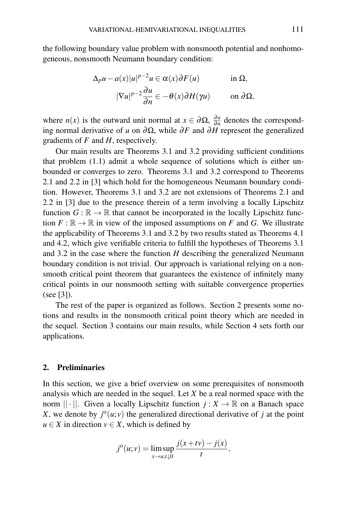the following boundary value problem with nonsmooth potential and nonhomogeneous, nonsmooth Neumann boundary condition:

$$
\Delta_p u - a(x)|u|^{p-2}u \in \alpha(x)\partial F(u) \quad \text{in } \Omega,
$$
  

$$
|\nabla u|^{p-2}\frac{\partial u}{\partial n} \in -\theta(x)\partial H(\gamma u) \quad \text{on } \partial \Omega,
$$

where *n*(*x*) is the outward unit normal at  $x \in \partial \Omega$ ,  $\frac{\partial u}{\partial n}$  $\frac{\partial u}{\partial n}$  denotes the corresponding normal derivative of *u* on ∂Ω, while ∂*F* and ∂*H* represent the generalized gradients of *F* and *H*, respectively.

Our main results are Theorems 3.1 and 3.2 providing sufficient conditions that problem (1.1) admit a whole sequence of solutions which is either unbounded or converges to zero. Theorems 3.1 and 3.2 correspond to Theorems 2.1 and 2.2 in [3] which hold for the homogeneous Neumann boundary condition. However, Theorems 3.1 and 3.2 are not extensions of Theorems 2.1 and 2.2 in [3] due to the presence therein of a term involving a locally Lipschitz function  $G : \mathbb{R} \to \mathbb{R}$  that cannot be incorporated in the locally Lipschitz function  $F : \mathbb{R} \to \mathbb{R}$  in view of the imposed assumptions on *F* and *G*. We illustrate the applicability of Theorems 3.1 and 3.2 by two results stated as Theorems 4.1 and 4.2, which give verifiable criteria to fulfill the hypotheses of Theorems 3.1 and 3.2 in the case where the function *H* describing the generalized Neumann boundary condition is not trivial. Our approach is variational relying on a nonsmooth critical point theorem that guarantees the existence of infinitely many critical points in our nonsmooth setting with suitable convergence properties (see [3]).

The rest of the paper is organized as follows. Section 2 presents some notions and results in the nonsmooth critical point theory which are needed in the sequel. Section 3 contains our main results, while Section 4 sets forth our applications.

#### 2. Preliminaries

In this section, we give a brief overview on some prerequisites of nonsmooth analysis which are needed in the sequel. Let *X* be a real normed space with the norm  $|| \cdot ||$ . Given a locally Lipschitz function  $j : X \to \mathbb{R}$  on a Banach space *X*, we denote by  $j^{\circ}(u; v)$  the generalized directional derivative of *j* at the point  $u \in X$  in direction  $v \in X$ , which is defined by

$$
j^{o}(u; v) = \limsup_{x \to u, t \downarrow 0} \frac{j(x + tv) - j(x)}{t},
$$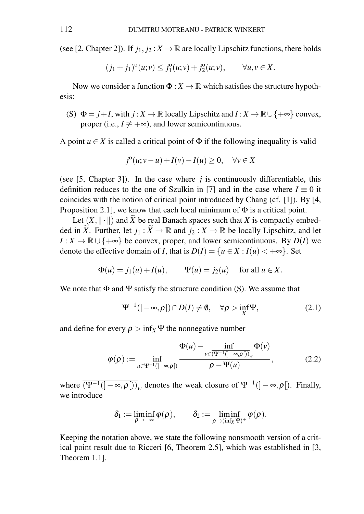(see [2, Chapter 2]). If  $j_1, j_2 : X \to \mathbb{R}$  are locally Lipschitz functions, there holds

$$
(j_1+j_1)^{\circ}(u;v) \leq j_1^{\circ}(u;v) + j_2^{\circ}(u;v), \qquad \forall u, v \in X.
$$

Now we consider a function  $\Phi: X \to \mathbb{R}$  which satisfies the structure hypothesis:

(S)  $\Phi = j + I$ , with  $j : X \to \mathbb{R}$  locally Lipschitz and  $I : X \to \mathbb{R} \cup \{+\infty\}$  convex, proper (i.e.,  $I \neq +\infty$ ), and lower semicontinuous.

A point  $u \in X$  is called a critical point of  $\Phi$  if the following inequality is valid

$$
j^{o}(u;v-u)+I(v)-I(u)\geq 0, \quad \forall v \in X
$$

(see [5, Chapter 3]). In the case where  $j$  is continuously differentiable, this definition reduces to the one of Szulkin in [7] and in the case where  $I \equiv 0$  it coincides with the notion of critical point introduced by Chang (cf. [1]). By [4, Proposition 2.1], we know that each local minimum of  $\Phi$  is a critical point.

Let  $(X, \|\cdot\|)$  and  $\widetilde{X}$  be real Banach spaces such that *X* is compactly embedded in  $\widetilde{X}$ . Further, let  $j_1 : \widetilde{X} \to \mathbb{R}$  and  $j_2 : X \to \mathbb{R}$  be locally Lipschitz, and let *I* : *X* →  $\mathbb{R} \cup \{+\infty\}$  be convex, proper, and lower semicontinuous. By *D*(*I*) we denote the effective domain of *I*, that is  $D(I) = \{u \in X : I(u) < +\infty\}$ . Set

$$
\Phi(u) = j_1(u) + I(u), \qquad \Psi(u) = j_2(u) \quad \text{ for all } u \in X.
$$

We note that  $\Phi$  and  $\Psi$  satisfy the structure condition (S). We assume that

$$
\Psi^{-1}(|-\infty,\rho[)\cap D(I)\neq\emptyset, \quad \forall \rho>\inf_{X}\Psi,
$$
\n(2.1)

and define for every  $\rho > inf_X \Psi$  the nonnegative number

$$
\varphi(\rho) := \inf_{u \in \Psi^{-1}(]-\infty,\rho[)} \frac{\Phi(u) - \inf_{v \in (\Psi^{-1}(-\infty,\rho[))_w} \Phi(v)}{\rho - \Psi(u)},
$$
\n(2.2)

where  $\overline{(\Psi^{-1}([- \infty, \rho]))}_w$  denotes the weak closure of  $\Psi^{-1}([- \infty, \rho])$ . Finally, we introduce

$$
\delta_1 := \liminf_{\rho \to +\infty} \phi(\rho), \qquad \delta_2 := \liminf_{\rho \to (\inf_X \Psi)^+} \phi(\rho).
$$

Keeping the notation above, we state the following nonsmooth version of a critical point result due to Ricceri [6, Theorem 2.5], which was established in [3, Theorem 1.1].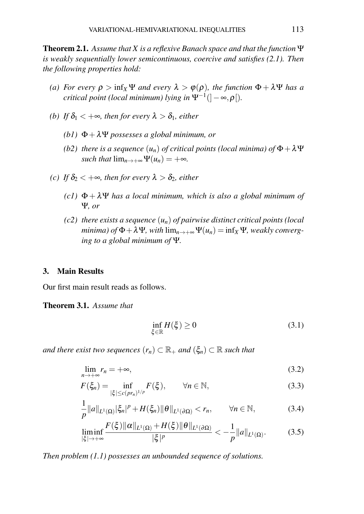Theorem 2.1. *Assume that X is a reflexive Banach space and that the function* Ψ *is weakly sequentially lower semicontinuous, coercive and satisfies (2.1). Then the following properties hold:*

- *(a) For every*  $\rho > \inf_{X} \Psi$  *and every*  $\lambda > \varphi(\rho)$ *, the function*  $\Phi + \lambda \Psi$  *has a critical point (local minimum) lying in* Ψ−<sup>1</sup> (]−∞,ρ[)*.*
- *(b)* If  $\delta_1 < +\infty$ , then for every  $\lambda > \delta_1$ , either
	- *(b1)* Φ+λΨ *possesses a global minimum, or*
	- *(b2) there is a sequence*  $(u_n)$  *of critical points (local minima) of*  $\Phi + \lambda \Psi$ *such that*  $\lim_{n\to+\infty}\Psi(u_n)=+\infty$ .
- *(c)* If  $\delta$ <sub>2</sub> <  $+\infty$ *, then for every*  $\lambda > \delta$ <sub>2</sub>*, either* 
	- $(c1)$   $\Phi + \lambda \Psi$  *has a local minimum, which is also a global minimum of* Ψ*, or*
	- *(c2) there exists a sequence* (*un*) *of pairwise distinct critical points (local minima) of*  $\Phi + \lambda \Psi$ *, with*  $\lim_{n \to +\infty} \Psi(u_n) = \inf_X \Psi$ *, weakly converging to a global minimum of* Ψ*.*

#### 3. Main Results

Our first main result reads as follows.

Theorem 3.1. *Assume that*

$$
\inf_{\xi \in \mathbb{R}} H(\xi) \ge 0 \tag{3.1}
$$

*and there exist two sequences*  $(r_n) \subset \mathbb{R}_+$  *and*  $(\xi_n) \subset \mathbb{R}$  *such that* 

$$
\lim_{n \to +\infty} r_n = +\infty,\tag{3.2}
$$

$$
F(\xi_n) = \inf_{|\xi| \le c(p r_n)^{1/p}} F(\xi), \qquad \forall n \in \mathbb{N},
$$
\n(3.3)

$$
\frac{1}{p}||a||_{L^{1}(\Omega)}|\xi_{n}|^{p}+H(\xi_{n})||\theta||_{L^{1}(\partial\Omega)} < r_{n}, \qquad \forall n \in \mathbb{N}, \qquad (3.4)
$$

$$
\liminf_{|\xi|\to+\infty}\frac{F(\xi)\|\alpha\|_{L^1(\Omega)}+H(\xi)\|\theta\|_{L^1(\partial\Omega)}}{|\xi|^p}<-\frac{1}{p}\|a\|_{L^1(\Omega)}.\tag{3.5}
$$

*Then problem (1.1) possesses an unbounded sequence of solutions.*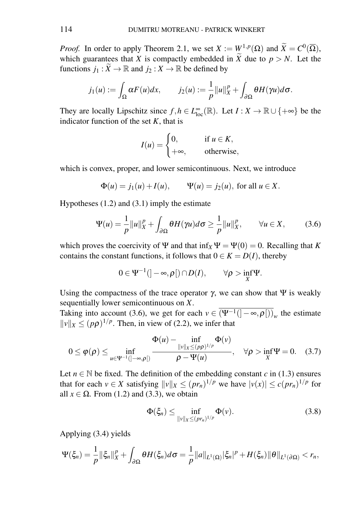*Proof.* In order to apply Theorem 2.1, we set  $X := W^{1,p}(\Omega)$  and  $\widetilde{X} = C^0(\overline{\Omega})$ , which guarantees that *X* is compactly embedded in  $\widetilde{X}$  due to  $p > N$ . Let the functions  $j_1 : \widetilde{X} \to \mathbb{R}$  and  $j_2 : X \to \mathbb{R}$  be defined by

$$
j_1(u) := \int_{\Omega} \alpha F(u) dx, \qquad j_2(u) := \frac{1}{p} ||u||_X^p + \int_{\partial \Omega} \theta H(\gamma u) d\sigma.
$$

They are locally Lipschitz since  $f, h \in L^{\infty}_{loc}(\mathbb{R})$ . Let  $I : X \to \mathbb{R} \cup \{+\infty\}$  be the indicator function of the set  $K$ , that is

$$
I(u) = \begin{cases} 0, & \text{if } u \in K, \\ +\infty, & \text{otherwise,} \end{cases}
$$

which is convex, proper, and lower semicontinuous. Next, we introduce

$$
\Phi(u) = j_1(u) + I(u), \quad \Psi(u) = j_2(u), \text{ for all } u \in X.
$$

Hypotheses (1.2) and (3.1) imply the estimate

$$
\Psi(u) = \frac{1}{p} ||u||_X^p + \int_{\partial \Omega} \theta H(\gamma u) d\sigma \ge \frac{1}{p} ||u||_X^p, \qquad \forall u \in X, \tag{3.6}
$$

which proves the coercivity of  $\Psi$  and that  $\inf_X \Psi = \Psi(0) = 0$ . Recalling that *K* contains the constant functions, it follows that  $0 \in K = D(I)$ , thereby

$$
0\in \Psi^{-1}(]-\infty,\rho[)\cap D(I),\qquad \forall \rho>\inf_X \Psi.
$$

Using the compactness of the trace operator  $\gamma$ , we can show that  $\Psi$  is weakly sequentially lower semicontinuous on *X*.

Taking into account (3.6), we get for each  $v \in (\Psi^{-1}([-\infty,\rho]))_w$  the estimate  $||v||_X \le (p\rho)^{1/p}$ . Then, in view of (2.2), we infer that

$$
0 \leq \varphi(\rho) \leq \inf_{u \in \Psi^{-1}(\ ]-\infty,\rho[)} \frac{\Phi(u)-\inf_{\|v\|_X \leq (p\rho)^{1/p}} \Phi(v)}{\rho - \Psi(u)}, \quad \forall \rho > \inf_X \Psi = 0. \quad (3.7)
$$

Let  $n \in \mathbb{N}$  be fixed. The definition of the embedding constant *c* in (1.3) ensures that for each  $v \in X$  satisfying  $||v||_X \le (pr_n)^{1/p}$  we have  $|v(x)| \le c(pr_n)^{1/p}$  for all  $x \in \Omega$ . From (1.2) and (3.3), we obtain

$$
\Phi(\xi_n) \le \inf_{\|v\|_X \le (pr_n)^{1/p}} \Phi(v). \tag{3.8}
$$

Applying (3.4) yields

$$
\Psi(\xi_n)=\frac{1}{p}\|\xi_n\|_X^p+\int_{\partial\Omega}\theta H(\xi_n)d\sigma=\frac{1}{p}\|a\|_{L^1(\Omega)}|\xi_n|^p+H(\xi_n)\|\theta\|_{L^1(\partial\Omega)}
$$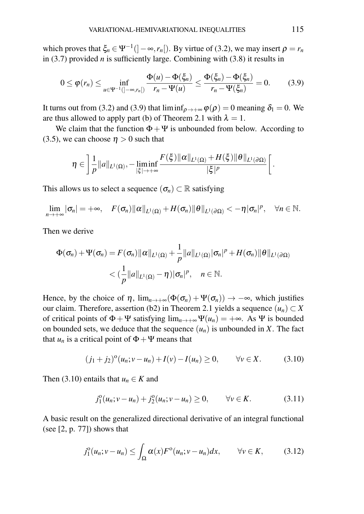which proves that  $\xi_n \in \Psi^{-1}([-\infty,r_n])$ . By virtue of (3.2), we may insert  $\rho = r_n$ in (3.7) provided *n* is sufficiently large. Combining with (3.8) it results in

$$
0 \leq \varphi(r_n) \leq \inf_{u \in \Psi^{-1}(\ ]-\infty,r_n[)} \frac{\Phi(u) - \Phi(\xi_n)}{r_n - \Psi(u)} \leq \frac{\Phi(\xi_n) - \Phi(\xi_n)}{r_n - \Psi(\xi_n)} = 0. \tag{3.9}
$$

It turns out from (3.2) and (3.9) that  $\liminf_{\rho \to +\infty} \varphi(\rho) = 0$  meaning  $\delta_1 = 0$ . We are thus allowed to apply part (b) of Theorem 2.1 with  $\lambda = 1$ .

We claim that the function  $\Phi + \Psi$  is unbounded from below. According to (3.5), we can choose  $\eta > 0$  such that

$$
\eta \in \left] \frac{1}{p} ||a||_{L^{1}(\Omega)}, - \liminf_{|\xi| \to +\infty} \frac{F(\xi) ||\alpha||_{L^{1}(\Omega)} + H(\xi) ||\theta||_{L^{1}(\partial \Omega)}}{|\xi|^{p}} \right[.
$$

This allows us to select a sequence  $(\sigma_n) \subset \mathbb{R}$  satisfying

$$
\lim_{n\to+\infty}|\sigma_n|=\infty,\quad F(\sigma_n)\|\alpha\|_{L^1(\Omega)}+H(\sigma_n)\|\theta\|_{L^1(\partial\Omega)}<-\eta|\sigma_n|^p,\quad\forall n\in\mathbb{N}.
$$

Then we derive

$$
\Phi(\sigma_n) + \Psi(\sigma_n) = F(\sigma_n) \|\alpha\|_{L^1(\Omega)} + \frac{1}{p} \|a\|_{L^1(\Omega)} |\sigma_n|^p + H(\sigma_n) \|\theta\|_{L^1(\partial \Omega)}
$$
  

$$
< \left(\frac{1}{p} \|a\|_{L^1(\Omega)} - \eta\right) |\sigma_n|^p, \quad n \in \mathbb{N}.
$$

Hence, by the choice of  $\eta$ ,  $\lim_{n\to+\infty}(\Phi(\sigma_n)+\Psi(\sigma_n))\to-\infty$ , which justifies our claim. Therefore, assertion (b2) in Theorem 2.1 yields a sequence  $(u_n) \subset X$ of critical points of  $\Phi + \Psi$  satisfying  $\lim_{n \to +\infty} \Psi(u_n) = +\infty$ . As  $\Psi$  is bounded on bounded sets, we deduce that the sequence  $(u_n)$  is unbounded in *X*. The fact that  $u_n$  is a critical point of  $\Phi + \Psi$  means that

$$
(j_1 + j_2)^{\circ}(u_n; v - u_n) + I(v) - I(u_n) \ge 0, \qquad \forall v \in X. \tag{3.10}
$$

Then (3.10) entails that  $u_n \in K$  and

$$
j_1^0(u_n; v - u_n) + j_2^0(u_n; v - u_n) \ge 0, \qquad \forall v \in K.
$$
 (3.11)

A basic result on the generalized directional derivative of an integral functional (see  $[2, p. 77]$ ) shows that

$$
j_1^{\circ}(u_n; v - u_n) \le \int_{\Omega} \alpha(x) F^{\circ}(u_n; v - u_n) dx, \qquad \forall v \in K,
$$
 (3.12)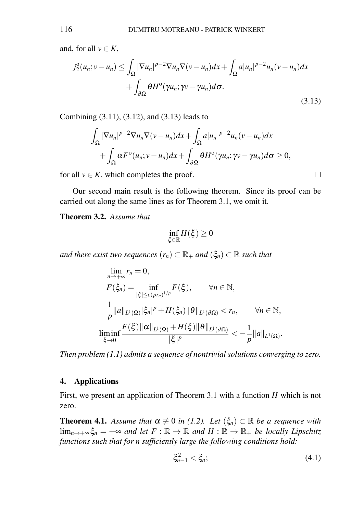and, for all  $v \in K$ ,

$$
j_{2}^{0}(u_{n};v-u_{n}) \leq \int_{\Omega} |\nabla u_{n}|^{p-2} \nabla u_{n} \nabla (v-u_{n}) dx + \int_{\Omega} a |u_{n}|^{p-2} u_{n}(v-u_{n}) dx + \int_{\partial \Omega} \theta H^{0}(\gamma u_{n}; \gamma v - \gamma u_{n}) d\sigma.
$$
\n(3.13)

Combining (3.11), (3.12), and (3.13) leads to

$$
\int_{\Omega} |\nabla u_n|^{p-2} \nabla u_n \nabla (v - u_n) dx + \int_{\Omega} a |u_n|^{p-2} u_n (v - u_n) dx + \int_{\Omega} \alpha F^{\circ}(u_n; v - u_n) dx + \int_{\partial \Omega} \theta H^{\circ}(\gamma u_n; \gamma v - \gamma u_n) d\sigma \ge 0,
$$

for all  $v \in K$ , which completes the proof.

Our second main result is the following theorem. Since its proof can be carried out along the same lines as for Theorem 3.1, we omit it.

Theorem 3.2. *Assume that*

$$
\inf_{\xi\in\mathbb{R}}H(\xi)\geq 0
$$

*and there exist two sequences*  $(r_n) \subset \mathbb{R}_+$  *and*  $(\xi_n) \subset \mathbb{R}$  *such that* 

$$
\lim_{n \to +\infty} r_n = 0,
$$
\n
$$
F(\xi_n) = \inf_{|\xi| \le c(p r_n)^{1/p}} F(\xi), \quad \forall n \in \mathbb{N},
$$
\n
$$
\frac{1}{p} ||a||_{L^1(\Omega)} |\xi_n|^p + H(\xi_n) ||\theta||_{L^1(\partial \Omega)} < r_n, \quad \forall n \in \mathbb{N},
$$
\n
$$
\liminf_{\xi \to 0} \frac{F(\xi) ||\alpha||_{L^1(\Omega)} + H(\xi) ||\theta||_{L^1(\partial \Omega)}}{|\xi|^p} < -\frac{1}{p} ||a||_{L^1(\Omega)}.
$$

*Then problem (1.1) admits a sequence of nontrivial solutions converging to zero.*

## 4. Applications

First, we present an application of Theorem 3.1 with a function *H* which is not zero.

**Theorem 4.1.** *Assume that*  $\alpha \neq 0$  *in* (1.2). Let  $(\xi_n) \subset \mathbb{R}$  be a sequence with  $\lim_{n\to+\infty}\xi_n = +\infty$  *and let*  $F : \mathbb{R} \to \mathbb{R}$  *and*  $H : \mathbb{R} \to \mathbb{R}$ <sub>+</sub> *be locally Lipschitz functions such that for n sufficiently large the following conditions hold:*

$$
\xi_{n-1}^2 < \xi_n; \tag{4.1}
$$

$$
\qquad \qquad \Box
$$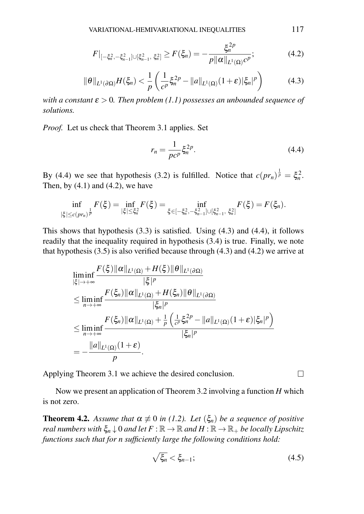$$
F|_{[-\xi_n^2, -\xi_{n-1}^2] \cup [\xi_{n-1}^2, \xi_n^2]} \ge F(\xi_n) = -\frac{\xi_n^{2p}}{p \| \alpha \|_{L^1(\Omega)} c^p};\tag{4.2}
$$

$$
\|\theta\|_{L^1(\partial\Omega)}H(\xi_n) < \frac{1}{p} \left( \frac{1}{c^p} \xi_n^{2p} - \|a\|_{L^1(\Omega)} (1+\varepsilon) |\xi_n|^p \right) \tag{4.3}
$$

*with a constant*  $\epsilon > 0$ . *Then problem* (1.1) possesses an unbounded sequence of *solutions.*

*Proof.* Let us check that Theorem 3.1 applies. Set

$$
r_n = \frac{1}{pc^p} \xi_n^{2p}.
$$
 (4.4)

By (4.4) we see that hypothesis (3.2) is fulfilled. Notice that  $c(pr_n)^{\frac{1}{p}} = \xi_n^2$ . Then, by  $(4.1)$  and  $(4.2)$ , we have

$$
\inf_{|\xi|\leq c(pr_n)^{\frac{1}{p}}}F(\xi)=\inf_{|\xi|\leq \xi_n^2}F(\xi)=\inf_{\xi\in [-\xi_n^2,-\xi_{n-1}^2]\cup [\xi_{n-1}^2,\ \xi_n^2]}F(\xi)=F(\xi_n).
$$

This shows that hypothesis  $(3.3)$  is satisfied. Using  $(4.3)$  and  $(4.4)$ , it follows readily that the inequality required in hypothesis (3.4) is true. Finally, we note that hypothesis (3.5) is also verified because through (4.3) and (4.2) we arrive at

$$
\liminf_{|\xi| \to +\infty} \frac{F(\xi) ||\alpha||_{L^1(\Omega)} + H(\xi) ||\theta||_{L^1(\partial \Omega)}}{|\xi|^p}
$$
\n
$$
\leq \liminf_{n \to +\infty} \frac{F(\xi_n) ||\alpha||_{L^1(\Omega)} + H(\xi_n) ||\theta||_{L^1(\partial \Omega)}}{|\xi_n|^p}
$$
\n
$$
\leq \liminf_{n \to +\infty} \frac{F(\xi_n) ||\alpha||_{L^1(\Omega)} + \frac{1}{p} \left( \frac{1}{c^p} \xi_n^{2p} - ||a||_{L^1(\Omega)} (1+\varepsilon) |\xi_n|^p \right)}{|\xi_n|^p}
$$
\n
$$
= -\frac{||a||_{L^1(\Omega)} (1+\varepsilon)}{p}.
$$

Applying Theorem 3.1 we achieve the desired conclusion.

Now we present an application of Theorem 3.2 involving a function *H* which is not zero.

**Theorem 4.2.** *Assume that*  $\alpha \neq 0$  *in* (1.2). Let  $(\xi_n)$  be a sequence of positive *real numbers with*  $\xi_n \downarrow 0$  *and let*  $F : \mathbb{R} \to \mathbb{R}$  *and*  $H : \mathbb{R} \to \mathbb{R}$ *<sub>+</sub> be locally Lipschitz functions such that for n sufficiently large the following conditions hold:*

$$
\sqrt{\xi_n} < \xi_{n-1};\tag{4.5}
$$

 $\Box$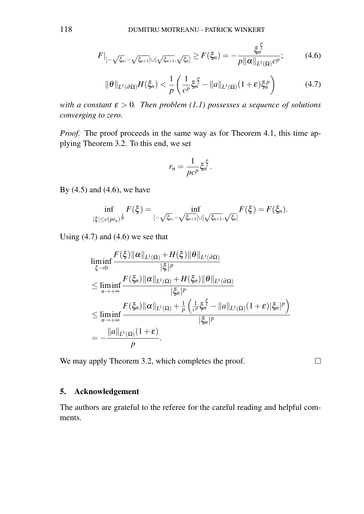$$
F|_{[-\sqrt{\xi_n},-\sqrt{\xi_{n+1}}]\cup[\sqrt{\xi_{n+1}},\sqrt{\xi_n}]} \ge F(\xi_n) = -\frac{\xi_n^{\frac{p}{2}}}{p\|\alpha\|_{L^1(\Omega)}c^p};\tag{4.6}
$$

*p*

$$
\|\theta\|_{L^1(\partial\Omega)}H(\xi_n)<\frac{1}{p}\left(\frac{1}{c^p}\xi_n^{\frac{p}{2}}-\|a\|_{L^1(\Omega)}(1+\varepsilon)\xi_n^p\right) \tag{4.7}
$$

*with a constant*  $\varepsilon > 0$ *. Then problem* (1.1) possesses a sequence of solutions *converging to zero.*

*Proof.* The proof proceeds in the same way as for Theorem 4.1, this time applying Theorem 3.2. To this end, we set

$$
r_n=\frac{1}{pc^p}\xi_n^{\frac{p}{2}}.
$$

By  $(4.5)$  and  $(4.6)$ , we have

$$
\inf_{|\xi|\leq c(pr_n)^{\frac{1}{p}}}F(\xi)=\inf_{[-\sqrt{\xi_n},-\sqrt{\xi_{n+1}}]\cup[\sqrt{\xi_{n+1}},\sqrt{\xi_n}]}F(\xi)=F(\xi_n).
$$

Using  $(4.7)$  and  $(4.6)$  we see that

$$
\liminf_{\xi \to 0} \frac{F(\xi) \|\alpha\|_{L^1(\Omega)} + H(\xi) \|\theta\|_{L^1(\partial \Omega)}}{|\xi|^p}
$$
\n
$$
\leq \liminf_{n \to +\infty} \frac{F(\xi_n) \|\alpha\|_{L^1(\Omega)} + H(\xi_n) \|\theta\|_{L^1(\partial \Omega)}}{|\xi_n|^p}
$$
\n
$$
\leq \liminf_{n \to +\infty} \frac{F(\xi_n) \|\alpha\|_{L^1(\Omega)} + \frac{1}{p} \left(\frac{1}{c^p} \xi_n^{\frac{p}{2}} - \|a\|_{L^1(\Omega)} (1 + \varepsilon) |\xi_n|^p\right)}{|\xi_n|^p}
$$
\n
$$
= -\frac{\|a\|_{L^1(\Omega)} (1 + \varepsilon)}{p}.
$$

We may apply Theorem 3.2, which completes the proof.

 $\Box$ 

#### 5. Acknowledgement

The authors are grateful to the referee for the careful reading and helpful comments.